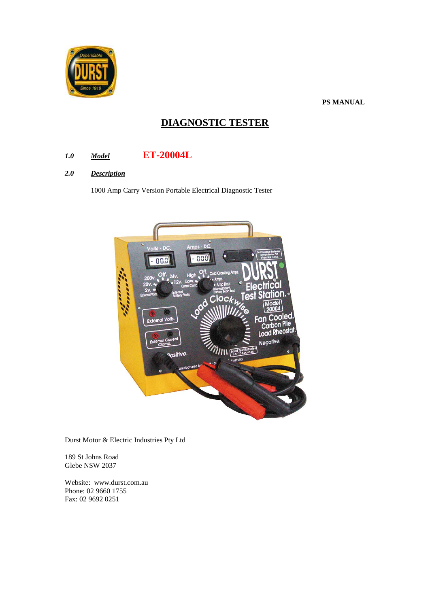

**PS MANUAL**

# **DIAGNOSTIC TESTER**

# *1.0 Model* **ET-20004L**

## *2.0 Description*

1000 Amp Carry Version Portable Electrical Diagnostic Tester



Durst Motor & Electric Industries Pty Ltd

189 St Johns Road Glebe NSW 2037

Website: www.durst.com.au Phone: 02 9660 1755 Fax: 02 9692 0251